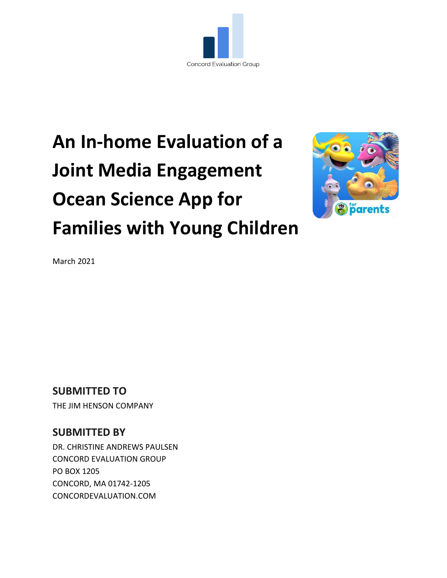

# **An In-home Evaluation of a Joint Media Engagement Ocean Science App for Families with Young Children**



March 2021

# **SUBMITTED TO**

THE JIM HENSON COMPANY

### **SUBMITTED BY**

DR. CHRISTINE ANDREWS PAULSEN CONCORD EVALUATION GROUP PO BOX 1205 CONCORD, MA 01742-1205 CONCORDEVALUATION.COM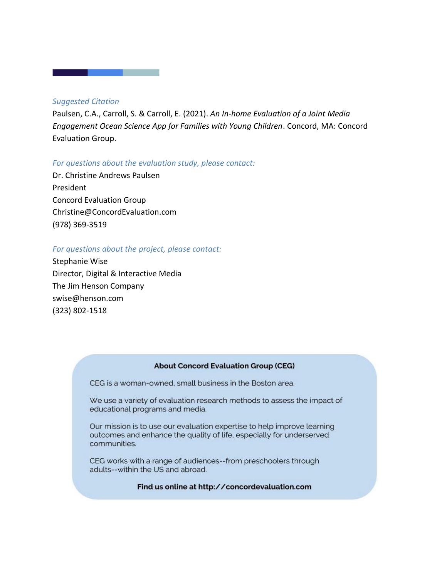#### *Suggested Citation*

Paulsen, C.A., Carroll, S. & Carroll, E. (2021). *An In-home Evaluation of a Joint Media Engagement Ocean Science App for Families with Young Children*. Concord, MA: Concord Evaluation Group.

#### *For questions about the evaluation study, please contact:*

Dr. Christine Andrews Paulsen President Concord Evaluation Group [Christine@ConcordEvaluation.com](mailto:Christine@ConcordEvaluation.com) (978) 369-3519

#### *For questions about the project, please contact:*

Stephanie Wise Director, Digital & Interactive Media The Jim Henson Company swise@henson.com (323) 802-1518

#### **About Concord Evaluation Group (CEG)**

CEG is a woman-owned, small business in the Boston area.

We use a variety of evaluation research methods to assess the impact of educational programs and media.

Our mission is to use our evaluation expertise to help improve learning outcomes and enhance the quality of life, especially for underserved communities.

CEG works with a range of audiences--from preschoolers through adults--within the US and abroad.

Find us online at http://concordevaluation.com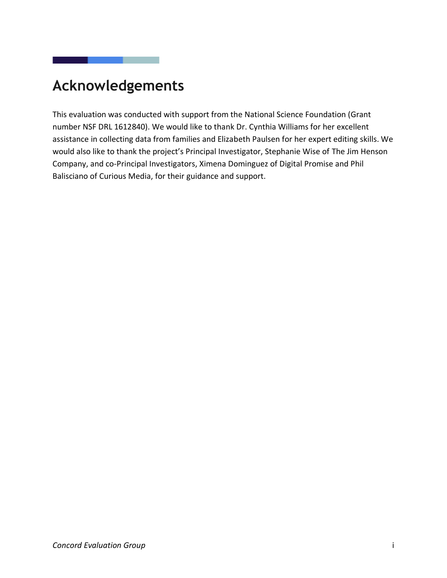# <span id="page-2-0"></span>**Acknowledgements**

and the state of the state of the

This evaluation was conducted with support from the National Science Foundation (Grant number NSF DRL 1612840). We would like to thank Dr. Cynthia Williams for her excellent assistance in collecting data from families and Elizabeth Paulsen for her expert editing skills. We would also like to thank the project's Principal Investigator, Stephanie Wise of The Jim Henson Company, and co-Principal Investigators, Ximena Dominguez of Digital Promise and Phil Balisciano of Curious Media, for their guidance and support.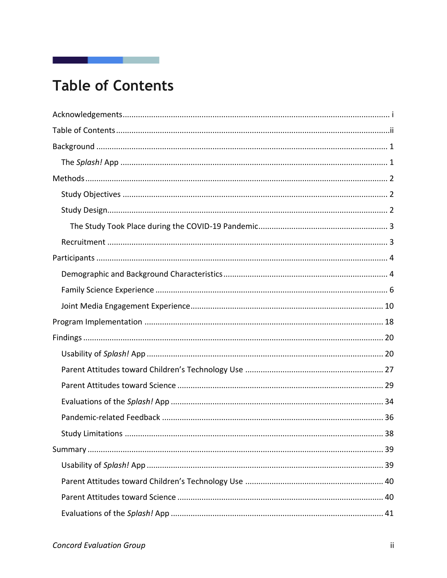# <span id="page-3-0"></span>**Table of Contents**

and the company of the company of

I

| <b>Study Limitations</b> | 38 |
|--------------------------|----|
|                          |    |
|                          |    |
|                          |    |
|                          |    |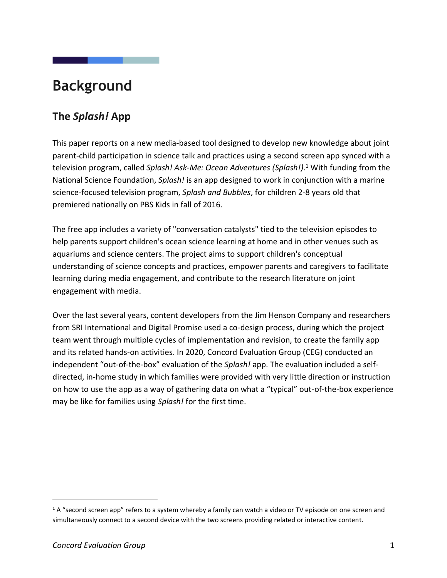# <span id="page-5-0"></span>**Background**

# <span id="page-5-1"></span>**The** *Splash!* **App**

This paper reports on a new media-based tool designed to develop new knowledge about joint parent-child participation in science talk and practices using a second screen app synced with a television program, called *Splash! Ask-Me: Ocean Adventures (Splash!)*. <sup>1</sup> With funding from the National Science Foundation, *Splash!* is an app designed to work in conjunction with a marine science-focused television program, *Splash and Bubbles*, for children 2-8 years old that premiered nationally on PBS Kids in fall of 2016.

The free app includes a variety of "conversation catalysts" tied to the television episodes to help parents support children's ocean science learning at home and in other venues such as aquariums and science centers. The project aims to support children's conceptual understanding of science concepts and practices, empower parents and caregivers to facilitate learning during media engagement, and contribute to the research literature on joint engagement with media.

Over the last several years, content developers from the Jim Henson Company and researchers from SRI International and Digital Promise used a co-design process, during which the project team went through multiple cycles of implementation and revision, to create the family app and its related hands-on activities. In 2020, Concord Evaluation Group (CEG) conducted an independent "out-of-the-box" evaluation of the *Splash!* app. The evaluation included a selfdirected, in-home study in which families were provided with very little direction or instruction on how to use the app as a way of gathering data on what a "typical" out-of-the-box experience may be like for families using *Splash!* for the first time.

<sup>&</sup>lt;sup>1</sup> A "second screen app" refers to a system whereby a family can watch a video or TV episode on one screen and simultaneously connect to a second device with the two screens providing related or interactive content.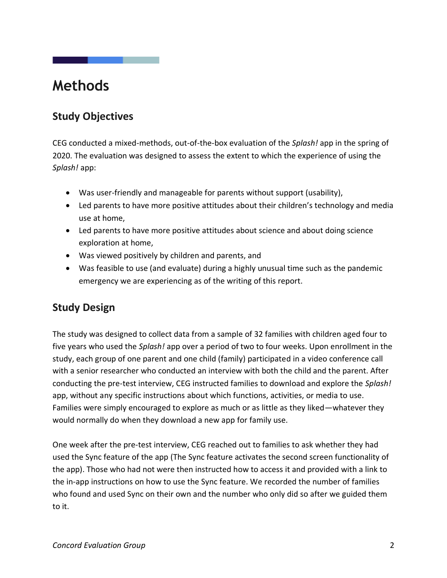# <span id="page-6-0"></span>**Methods**

# <span id="page-6-1"></span>**Study Objectives**

CEG conducted a mixed-methods, out-of-the-box evaluation of the *Splash!* app in the spring of 2020. The evaluation was designed to assess the extent to which the experience of using the *Splash!* app:

- Was user-friendly and manageable for parents without support (usability),
- Led parents to have more positive attitudes about their children's technology and media use at home,
- Led parents to have more positive attitudes about science and about doing science exploration at home,
- Was viewed positively by children and parents, and
- Was feasible to use (and evaluate) during a highly unusual time such as the pandemic emergency we are experiencing as of the writing of this report.

## <span id="page-6-2"></span>**Study Design**

The study was designed to collect data from a sample of 32 families with children aged four to five years who used the *Splash!* app over a period of two to four weeks. Upon enrollment in the study, each group of one parent and one child (family) participated in a video conference call with a senior researcher who conducted an interview with both the child and the parent. After conducting the pre-test interview, CEG instructed families to download and explore the *Splash!* app, without any specific instructions about which functions, activities, or media to use. Families were simply encouraged to explore as much or as little as they liked—whatever they would normally do when they download a new app for family use.

One week after the pre-test interview, CEG reached out to families to ask whether they had used the Sync feature of the app (The Sync feature activates the second screen functionality of the app). Those who had not were then instructed how to access it and provided with a link to the in-app instructions on how to use the Sync feature. We recorded the number of families who found and used Sync on their own and the number who only did so after we guided them to it.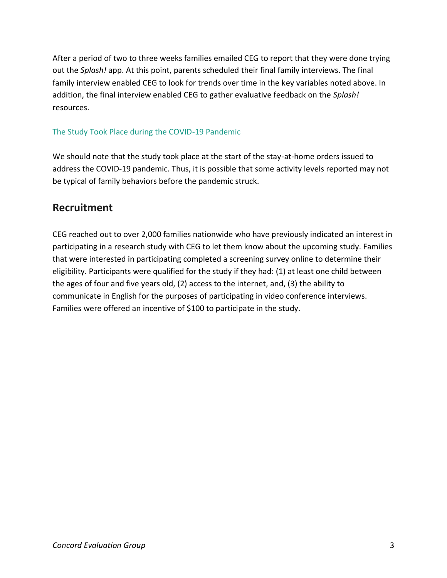After a period of two to three weeks families emailed CEG to report that they were done trying out the *Splash!* app. At this point, parents scheduled their final family interviews. The final family interview enabled CEG to look for trends over time in the key variables noted above. In addition, the final interview enabled CEG to gather evaluative feedback on the *Splash!* resources.

#### <span id="page-7-0"></span>The Study Took Place during the COVID-19 Pandemic

We should note that the study took place at the start of the stay-at-home orders issued to address the COVID-19 pandemic. Thus, it is possible that some activity levels reported may not be typical of family behaviors before the pandemic struck.

### <span id="page-7-1"></span>**Recruitment**

CEG reached out to over 2,000 families nationwide who have previously indicated an interest in participating in a research study with CEG to let them know about the upcoming study. Families that were interested in participating completed a screening survey online to determine their eligibility. Participants were qualified for the study if they had: (1) at least one child between the ages of four and five years old, (2) access to the internet, and, (3) the ability to communicate in English for the purposes of participating in video conference interviews. Families were offered an incentive of \$100 to participate in the study.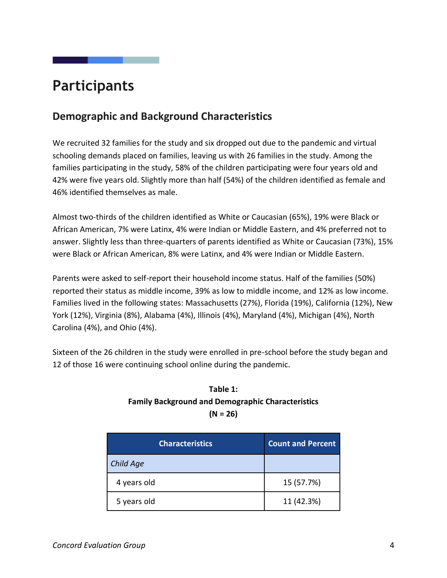# <span id="page-8-0"></span>**Participants**

# <span id="page-8-1"></span>**Demographic and Background Characteristics**

We recruited 32 families for the study and six dropped out due to the pandemic and virtual schooling demands placed on families, leaving us with 26 families in the study. Among the families participating in the study, 58% of the children participating were four years old and 42% were five years old. Slightly more than half (54%) of the children identified as female and 46% identified themselves as male.

Almost two-thirds of the children identified as White or Caucasian (65%), 19% were Black or African American, 7% were Latinx, 4% were Indian or Middle Eastern, and 4% preferred not to answer. Slightly less than three-quarters of parents identified as White or Caucasian (73%), 15% were Black or African American, 8% were Latinx, and 4% were Indian or Middle Eastern.

Parents were asked to self-report their household income status. Half of the families (50%) reported their status as middle income, 39% as low to middle income, and 12% as low income. Families lived in the following states: Massachusetts (27%), Florida (19%), California (12%), New York (12%), Virginia (8%), Alabama (4%), Illinois (4%), Maryland (4%), Michigan (4%), North Carolina (4%), and Ohio (4%).

Sixteen of the 26 children in the study were enrolled in pre-school before the study began and 12 of those 16 were continuing school online during the pandemic.

### **Table 1: Family Background and Demographic Characteristics (N = 26)**

| <b>Characteristics</b> | <b>Count and Percent</b> |
|------------------------|--------------------------|
| <b>Child Age</b>       |                          |
| 4 years old            | 15 (57.7%)               |
| 5 years old            | 11 (42.3%)               |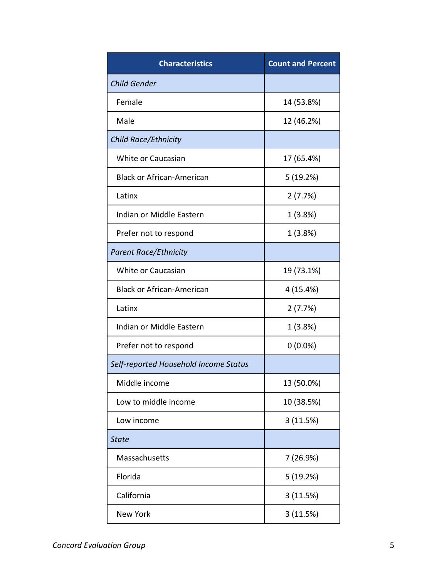| <b>Characteristics</b>                | <b>Count and Percent</b> |
|---------------------------------------|--------------------------|
| <b>Child Gender</b>                   |                          |
| Female                                | 14 (53.8%)               |
| Male                                  | 12 (46.2%)               |
| Child Race/Ethnicity                  |                          |
| White or Caucasian                    | 17 (65.4%)               |
| <b>Black or African-American</b>      | 5(19.2%)                 |
| Latinx                                | 2(7.7%)                  |
| Indian or Middle Eastern              | 1 (3.8%)                 |
| Prefer not to respond                 | 1(3.8%)                  |
| <b>Parent Race/Ethnicity</b>          |                          |
| White or Caucasian                    | 19 (73.1%)               |
| <b>Black or African-American</b>      | 4 (15.4%)                |
| Latinx                                | 2(7.7%)                  |
| Indian or Middle Eastern              | 1 (3.8%)                 |
| Prefer not to respond                 | $0(0.0\%)$               |
| Self-reported Household Income Status |                          |
| Middle income                         | 13 (50.0%)               |
| Low to middle income                  | 10 (38.5%)               |
| Low income                            | 3(11.5%)                 |
| <b>State</b>                          |                          |
| Massachusetts                         | 7 (26.9%)                |
| Florida                               | 5 (19.2%)                |
| California                            | 3 (11.5%)                |
| New York                              | 3(11.5%)                 |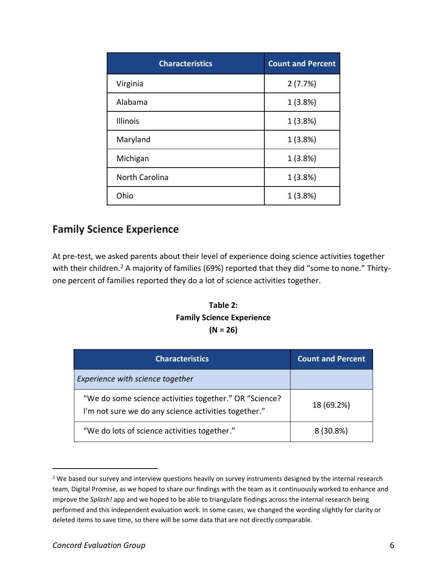| <b>Characteristics</b> | <b>Count and Percent</b> |
|------------------------|--------------------------|
| Virginia               | 2(7.7%)                  |
| Alabama                | 1(3.8%)                  |
| Illinois               | 1(3.8%)                  |
| Maryland               | 1(3.8%)                  |
| Michigan               | 1(3.8%)                  |
| <b>North Carolina</b>  | 1(3.8%)                  |
| Ohio                   | 1(3.8%)                  |

# <span id="page-10-0"></span>**Family Science Experience**

At pre-test, we asked parents about their level of experience doing science activities together with their children.<sup>2</sup> A majority of families (69%) reported that they did "some to none." Thirtyone percent of families reported they do a lot of science activities together.

#### **Table 2: Family Science Experience (N = 26)**

| <b>Characteristics</b>                                                                                         | <b>Count and Percent</b> |
|----------------------------------------------------------------------------------------------------------------|--------------------------|
| Experience with science together                                                                               |                          |
| "We do some science activities together." OR "Science?<br>I'm not sure we do any science activities together." | 18 (69.2%)               |
| "We do lots of science activities together."                                                                   | 8(30.8%)                 |

<sup>&</sup>lt;sup>2</sup> We based our survey and interview questions heavily on survey instruments designed by the internal research team, Digital Promise, as we hoped to share our findings with the team as it continuously worked to enhance and improve the *Splash!* app and we hoped to be able to triangulate findings across the internal research being performed and this independent evaluation work. In some cases, we changed the wording slightly for clarity or deleted items to save time, so there will be some data that are not directly comparable.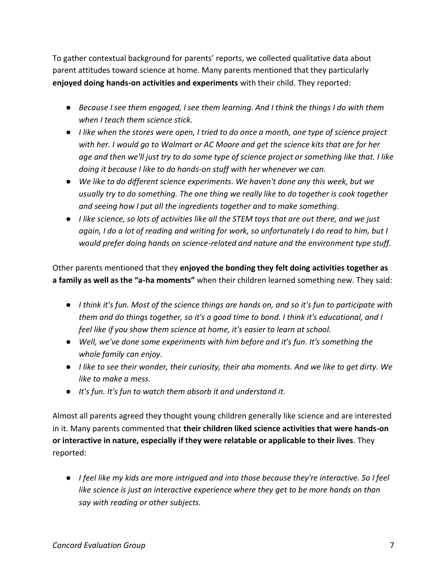To gather contextual background for parents' reports, we collected qualitative data about parent attitudes toward science at home. Many parents mentioned that they particularly **enjoyed doing hands-on activities and experiments** with their child. They reported:

- *Because I see them engaged, I see them learning. And I think the things I do with them when I teach them science stick.*
- *I like when the stores were open, I tried to do once a month, one type of science project with her. I would go to Walmart or AC Moore and get the science kits that are for her age and then we'll just try to do some type of science project or something like that. I like doing it because I like to do hands-on stuff with her whenever we can.*
- *We like to do different science experiments. We haven't done any this week, but we usually try to do something. The one thing we really like to do together is cook together and seeing how I put all the ingredients together and to make something.*
- *I like science, so lots of activities like all the STEM toys that are out there, and we just again, I do a lot of reading and writing for work, so unfortunately I do read to him, but I would prefer doing hands on science-related and nature and the environment type stuff.*

Other parents mentioned that they **enjoyed the bonding they felt doing activities together as a family as well as the "a-ha moments"** when their children learned something new. They said:

- *I think it's fun. Most of the science things are hands on, and so it's fun to participate with them and do things together, so it's a good time to bond. I think it's educational, and I feel like if you show them science at home, it's easier to learn at school.*
- *Well, we've done some experiments with him before and it's fun. It's something the whole family can enjoy.*
- *I like to see their wonder, their curiosity, their aha moments. And we like to get dirty. We like to make a mess.*
- *It's fun. It's fun to watch them absorb it and understand it.*

Almost all parents agreed they thought young children generally like science and are interested in it. Many parents commented that **their children liked science activities that were hands-on or interactive in nature, especially if they were relatable or applicable to their lives**. They reported:

● *I feel like my kids are more intrigued and into those because they're interactive. So I feel like science is just an interactive experience where they get to be more hands on than say with reading or other subjects.*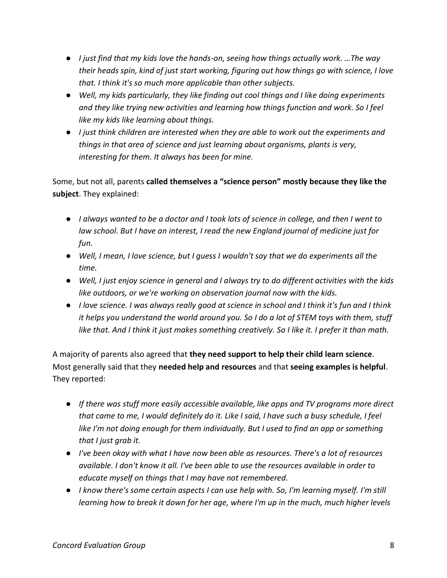- *I just find that my kids love the hands-on, seeing how things actually work. …The way their heads spin, kind of just start working, figuring out how things go with science, I love that. I think it's so much more applicable than other subjects.*
- *Well, my kids particularly, they like finding out cool things and I like doing experiments and they like trying new activities and learning how things function and work. So I feel like my kids like learning about things.*
- *I just think children are interested when they are able to work out the experiments and things in that area of science and just learning about organisms, plants is very, interesting for them. It always has been for mine.*

Some, but not all, parents **called themselves a "science person" mostly because they like the subject**. They explained:

- *I always wanted to be a doctor and I took lots of science in college, and then I went to law school. But I have an interest, I read the new England journal of medicine just for fun.*
- *Well, I mean, I love science, but I guess I wouldn't say that we do experiments all the time.*
- *Well, I just enjoy science in general and I always try to do different activities with the kids like outdoors, or we're working on observation journal now with the kids.*
- *I love science. I was always really good at science in school and I think it's fun and I think it helps you understand the world around you. So I do a lot of STEM toys with them, stuff like that. And I think it just makes something creatively. So I like it. I prefer it than math.*

A majority of parents also agreed that **they need support to help their child learn science**. Most generally said that they **needed help and resources** and that **seeing examples is helpful**. They reported:

- *If there was stuff more easily accessible available, like apps and TV programs more direct that came to me, I would definitely do it. Like I said, I have such a busy schedule, I feel like I'm not doing enough for them individually. But I used to find an app or something that I just grab it.*
- *I've been okay with what I have now been able as resources. There's a lot of resources available. I don't know it all. I've been able to use the resources available in order to educate myself on things that I may have not remembered.*
- *I know there's some certain aspects I can use help with. So, I'm learning myself. I'm still learning how to break it down for her age, where I'm up in the much, much higher levels*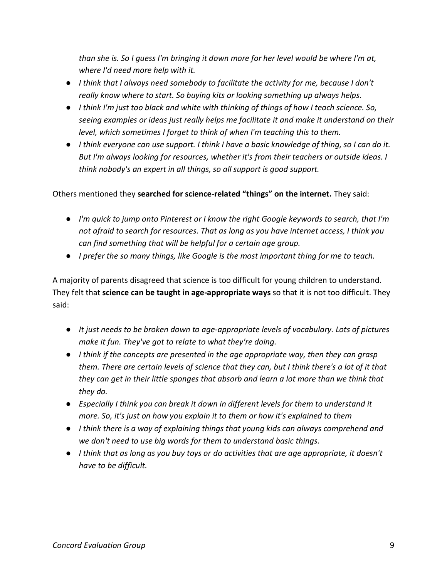*than she is. So I guess I'm bringing it down more for her level would be where I'm at, where I'd need more help with it.*

- *I think that I always need somebody to facilitate the activity for me, because I don't really know where to start. So buying kits or looking something up always helps.*
- *I think I'm just too black and white with thinking of things of how I teach science. So, seeing examples or ideas just really helps me facilitate it and make it understand on their level, which sometimes I forget to think of when I'm teaching this to them.*
- *I think everyone can use support. I think I have a basic knowledge of thing, so I can do it. But I'm always looking for resources, whether it's from their teachers or outside ideas. I think nobody's an expert in all things, so all support is good support.*

#### Others mentioned they **searched for science-related "things" on the internet.** They said:

- *I'm quick to jump onto Pinterest or I know the right Google keywords to search, that I'm not afraid to search for resources. That as long as you have internet access, I think you can find something that will be helpful for a certain age group.*
- *I prefer the so many things, like Google is the most important thing for me to teach.*

A majority of parents disagreed that science is too difficult for young children to understand. They felt that **science can be taught in age-appropriate ways** so that it is not too difficult. They said:

- *It just needs to be broken down to age-appropriate levels of vocabulary. Lots of pictures make it fun. They've got to relate to what they're doing.*
- *I think if the concepts are presented in the age appropriate way, then they can grasp them. There are certain levels of science that they can, but I think there's a lot of it that they can get in their little sponges that absorb and learn a lot more than we think that they do.*
- *Especially I think you can break it down in different levels for them to understand it more. So, it's just on how you explain it to them or how it's explained to them*
- *I think there is a way of explaining things that young kids can always comprehend and we don't need to use big words for them to understand basic things.*
- *I think that as long as you buy toys or do activities that are age appropriate, it doesn't have to be difficult.*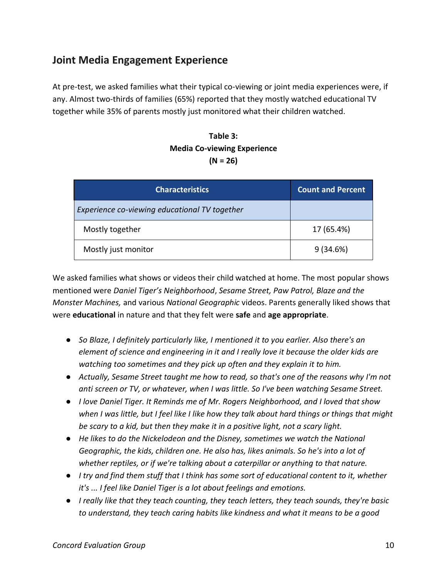# <span id="page-14-0"></span>**Joint Media Engagement Experience**

At pre-test, we asked families what their typical co-viewing or joint media experiences were, if any. Almost two-thirds of families (65%) reported that they mostly watched educational TV together while 35% of parents mostly just monitored what their children watched.

#### **Table 3: Media Co-viewing Experience (N = 26)**

| <b>Characteristics</b>                        | <b>Count and Percent</b> |
|-----------------------------------------------|--------------------------|
| Experience co-viewing educational TV together |                          |
| Mostly together                               | 17 (65.4%)               |
| Mostly just monitor                           | 9(34.6%)                 |

We asked families what shows or videos their child watched at home. The most popular shows mentioned were *Daniel Tiger's Neighborhood*, *Sesame Street, Paw Patrol, Blaze and the Monster Machines,* and various *National Geographic* videos. Parents generally liked shows that were **educational** in nature and that they felt were **safe** and **age appropriate**.

- *So Blaze, I definitely particularly like, I mentioned it to you earlier. Also there's an element of science and engineering in it and I really love it because the older kids are watching too sometimes and they pick up often and they explain it to him.*
- *Actually, Sesame Street taught me how to read, so that's one of the reasons why I'm not anti screen or TV, or whatever, when I was little. So I've been watching Sesame Street.*
- *I love Daniel Tiger. It Reminds me of Mr. Rogers Neighborhood, and I loved that show when I was little, but I feel like I like how they talk about hard things or things that might be scary to a kid, but then they make it in a positive light, not a scary light.*
- *He likes to do the Nickelodeon and the Disney, sometimes we watch the National Geographic, the kids, children one. He also has, likes animals. So he's into a lot of whether reptiles, or if we're talking about a caterpillar or anything to that nature.*
- *I try and find them stuff that I think has some sort of educational content to it, whether it's ... I feel like Daniel Tiger is a lot about feelings and emotions.*
- *I really like that they teach counting, they teach letters, they teach sounds, they're basic to understand, they teach caring habits like kindness and what it means to be a good*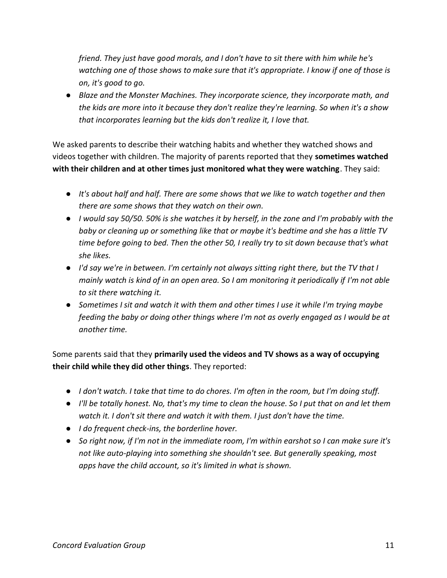*friend. They just have good morals, and I don't have to sit there with him while he's watching one of those shows to make sure that it's appropriate. I know if one of those is on, it's good to go.*

● *Blaze and the Monster Machines. They incorporate science, they incorporate math, and the kids are more into it because they don't realize they're learning. So when it's a show that incorporates learning but the kids don't realize it, I love that.*

We asked parents to describe their watching habits and whether they watched shows and videos together with children. The majority of parents reported that they **sometimes watched with their children and at other times just monitored what they were watching**. They said:

- *It's about half and half. There are some shows that we like to watch together and then there are some shows that they watch on their own.*
- *I would say 50/50. 50% is she watches it by herself, in the zone and I'm probably with the baby or cleaning up or something like that or maybe it's bedtime and she has a little TV time before going to bed. Then the other 50, I really try to sit down because that's what she likes.*
- *I'd say we're in between. I'm certainly not always sitting right there, but the TV that I mainly watch is kind of in an open area. So I am monitoring it periodically if I'm not able to sit there watching it.*
- *Sometimes I sit and watch it with them and other times I use it while I'm trying maybe feeding the baby or doing other things where I'm not as overly engaged as I would be at another time.*

Some parents said that they **primarily used the videos and TV shows as a way of occupying their child while they did other things**. They reported:

- *I don't watch. I take that time to do chores. I'm often in the room, but I'm doing stuff.*
- *I'll be totally honest. No, that's my time to clean the house. So I put that on and let them watch it. I don't sit there and watch it with them. I just don't have the time.*
- *I do frequent check-ins, the borderline hover.*
- *So right now, if I'm not in the immediate room, I'm within earshot so I can make sure it's not like auto-playing into something she shouldn't see. But generally speaking, most apps have the child account, so it's limited in what is shown.*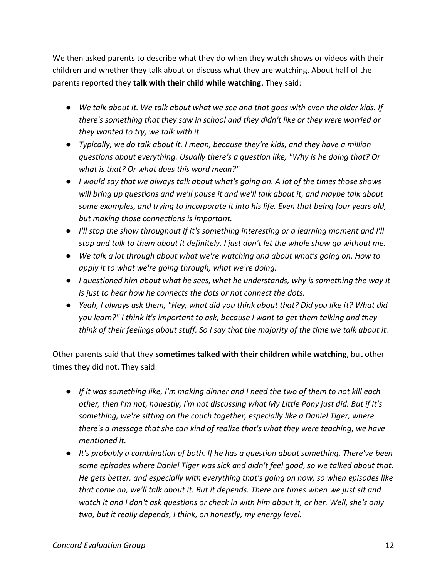We then asked parents to describe what they do when they watch shows or videos with their children and whether they talk about or discuss what they are watching. About half of the parents reported they **talk with their child while watching**. They said:

- *We talk about it. We talk about what we see and that goes with even the older kids. If there's something that they saw in school and they didn't like or they were worried or they wanted to try, we talk with it.*
- *Typically, we do talk about it. I mean, because they're kids, and they have a million questions about everything. Usually there's a question like, "Why is he doing that? Or what is that? Or what does this word mean?"*
- *I would say that we always talk about what's going on. A lot of the times those shows will bring up questions and we'll pause it and we'll talk about it, and maybe talk about some examples, and trying to incorporate it into his life. Even that being four years old, but making those connections is important.*
- *I'll stop the show throughout if it's something interesting or a learning moment and I'll stop and talk to them about it definitely. I just don't let the whole show go without me.*
- *We talk a lot through about what we're watching and about what's going on. How to apply it to what we're going through, what we're doing.*
- *I questioned him about what he sees, what he understands, why is something the way it is just to hear how he connects the dots or not connect the dots.*
- *Yeah, I always ask them, "Hey, what did you think about that? Did you like it? What did you learn?" I think it's important to ask, because I want to get them talking and they think of their feelings about stuff. So I say that the majority of the time we talk about it.*

Other parents said that they **sometimes talked with their children while watching**, but other times they did not. They said:

- *If it was something like, I'm making dinner and I need the two of them to not kill each other, then I'm not, honestly, I'm not discussing what My Little Pony just did. But if it's something, we're sitting on the couch together, especially like a Daniel Tiger, where there's a message that she can kind of realize that's what they were teaching, we have mentioned it.*
- *It's probably a combination of both. If he has a question about something. There've been some episodes where Daniel Tiger was sick and didn't feel good, so we talked about that. He gets better, and especially with everything that's going on now, so when episodes like that come on, we'll talk about it. But it depends. There are times when we just sit and watch it and I don't ask questions or check in with him about it, or her. Well, she's only two, but it really depends, I think, on honestly, my energy level.*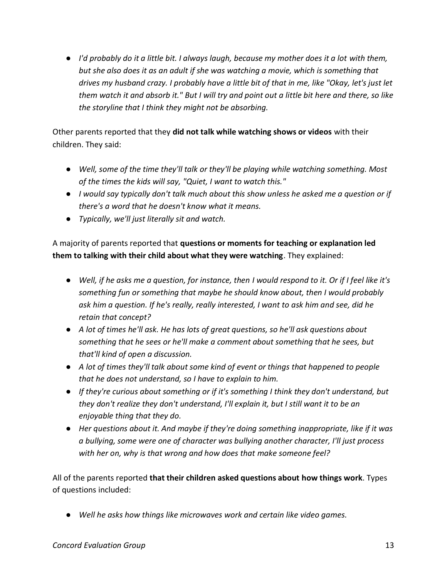● *I'd probably do it a little bit. I always laugh, because my mother does it a lot with them, but she also does it as an adult if she was watching a movie, which is something that drives my husband crazy. I probably have a little bit of that in me, like "Okay, let's just let them watch it and absorb it." But I will try and point out a little bit here and there, so like the storyline that I think they might not be absorbing.*

Other parents reported that they **did not talk while watching shows or videos** with their children. They said:

- *Well, some of the time they'll talk or they'll be playing while watching something. Most of the times the kids will say, "Quiet, I want to watch this."*
- *I would say typically don't talk much about this show unless he asked me a question or if there's a word that he doesn't know what it means.*
- *Typically, we'll just literally sit and watch.*

A majority of parents reported that **questions or moments for teaching or explanation led them to talking with their child about what they were watching**. They explained:

- *Well, if he asks me a question, for instance, then I would respond to it. Or if I feel like it's something fun or something that maybe he should know about, then I would probably ask him a question. If he's really, really interested, I want to ask him and see, did he retain that concept?*
- *A lot of times he'll ask. He has lots of great questions, so he'll ask questions about something that he sees or he'll make a comment about something that he sees, but that'll kind of open a discussion.*
- *A lot of times they'll talk about some kind of event or things that happened to people that he does not understand, so I have to explain to him.*
- *If they're curious about something or if it's something I think they don't understand, but they don't realize they don't understand, I'll explain it, but I still want it to be an enjoyable thing that they do.*
- *Her questions about it. And maybe if they're doing something inappropriate, like if it was a bullying, some were one of character was bullying another character, I'll just process with her on, why is that wrong and how does that make someone feel?*

All of the parents reported **that their children asked questions about how things work**. Types of questions included:

● *Well he asks how things like microwaves work and certain like video games.*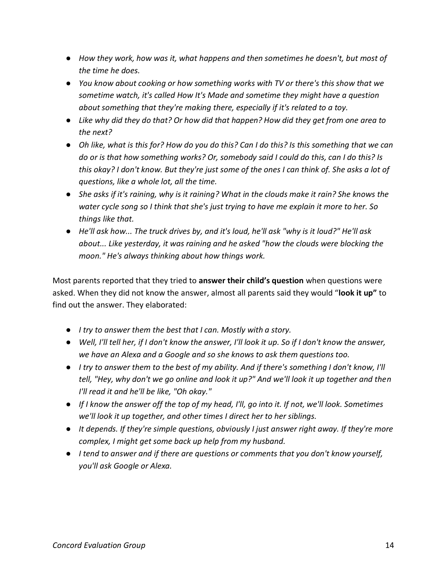- *How they work, how was it, what happens and then sometimes he doesn't, but most of the time he does.*
- *You know about cooking or how something works with TV or there's this show that we sometime watch, it's called How It's Made and sometime they might have a question about something that they're making there, especially if it's related to a toy.*
- *Like why did they do that? Or how did that happen? How did they get from one area to the next?*
- *Oh like, what is this for? How do you do this? Can I do this? Is this something that we can do or is that how something works? Or, somebody said I could do this, can I do this? Is this okay? I don't know. But they're just some of the ones I can think of. She asks a lot of questions, like a whole lot, all the time.*
- She asks if it's raining, why is it raining? What in the clouds make it rain? She knows the *water cycle song so I think that she's just trying to have me explain it more to her. So things like that.*
- *He'll ask how... The truck drives by, and it's loud, he'll ask "why is it loud?" He'll ask about... Like yesterday, it was raining and he asked "how the clouds were blocking the moon." He's always thinking about how things work.*

Most parents reported that they tried to **answer their child's question** when questions were asked. When they did not know the answer, almost all parents said they would "**look it up"** to find out the answer. They elaborated:

- *I try to answer them the best that I can. Mostly with a story.*
- *Well, I'll tell her, if I don't know the answer, I'll look it up. So if I don't know the answer, we have an Alexa and a Google and so she knows to ask them questions too.*
- *I try to answer them to the best of my ability. And if there's something I don't know, I'll tell, "Hey, why don't we go online and look it up?" And we'll look it up together and then I'll read it and he'll be like, "Oh okay."*
- *If I know the answer off the top of my head, I'll, go into it. If not, we'll look. Sometimes we'll look it up together, and other times I direct her to her siblings.*
- *It depends. If they're simple questions, obviously I just answer right away. If they're more complex, I might get some back up help from my husband.*
- *I tend to answer and if there are questions or comments that you don't know yourself, you'll ask Google or Alexa.*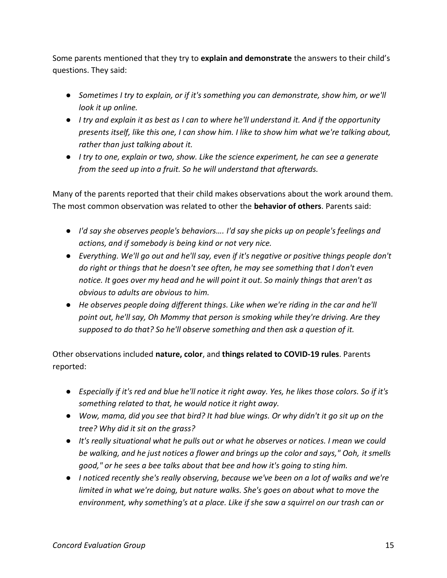Some parents mentioned that they try to **explain and demonstrate** the answers to their child's questions. They said:

- Sometimes I try to explain, or if it's something you can demonstrate, show him, or we'll *look it up online.*
- *I try and explain it as best as I can to where he'll understand it. And if the opportunity presents itself, like this one, I can show him. I like to show him what we're talking about, rather than just talking about it.*
- *I try to one, explain or two, show. Like the science experiment, he can see a generate from the seed up into a fruit. So he will understand that afterwards.*

Many of the parents reported that their child makes observations about the work around them. The most common observation was related to other the **behavior of others**. Parents said:

- *I'd say she observes people's behaviors…. I'd say she picks up on people's feelings and actions, and if somebody is being kind or not very nice.*
- *Everything. We'll go out and he'll say, even if it's negative or positive things people don't do right or things that he doesn't see often, he may see something that I don't even notice. It goes over my head and he will point it out. So mainly things that aren't as obvious to adults are obvious to him.*
- *He observes people doing different things. Like when we're riding in the car and he'll point out, he'll say, Oh Mommy that person is smoking while they're driving. Are they supposed to do that? So he'll observe something and then ask a question of it.*

Other observations included **nature, color**, and **things related to COVID-19 rules**. Parents reported:

- *Especially if it's red and blue he'll notice it right away. Yes, he likes those colors. So if it's something related to that, he would notice it right away.*
- *Wow, mama, did you see that bird? It had blue wings. Or why didn't it go sit up on the tree? Why did it sit on the grass?*
- *It's really situational what he pulls out or what he observes or notices. I mean we could be walking, and he just notices a flower and brings up the color and says," Ooh, it smells good," or he sees a bee talks about that bee and how it's going to sting him.*
- *I noticed recently she's really observing, because we've been on a lot of walks and we're limited in what we're doing, but nature walks. She's goes on about what to move the environment, why something's at a place. Like if she saw a squirrel on our trash can or*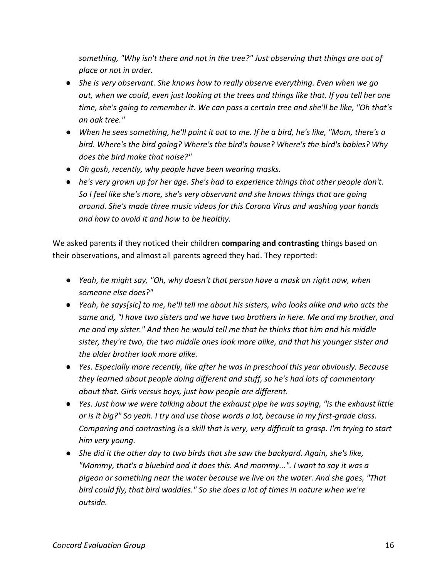*something, "Why isn't there and not in the tree?" Just observing that things are out of place or not in order.*

- *She is very observant. She knows how to really observe everything. Even when we go out, when we could, even just looking at the trees and things like that. If you tell her one time, she's going to remember it. We can pass a certain tree and she'll be like, "Oh that's an oak tree."*
- *When he sees something, he'll point it out to me. If he a bird, he's like, "Mom, there's a bird. Where's the bird going? Where's the bird's house? Where's the bird's babies? Why does the bird make that noise?"*
- *Oh gosh, recently, why people have been wearing masks.*
- *he's very grown up for her age. She's had to experience things that other people don't. So I feel like she's more, she's very observant and she knows things that are going around. She's made three music videos for this Corona Virus and washing your hands and how to avoid it and how to be healthy.*

We asked parents if they noticed their children **comparing and contrasting** things based on their observations, and almost all parents agreed they had. They reported:

- *Yeah, he might say, "Oh, why doesn't that person have a mask on right now, when someone else does?"*
- *Yeah, he says[sic] to me, he'll tell me about his sisters, who looks alike and who acts the same and, "I have two sisters and we have two brothers in here. Me and my brother, and me and my sister." And then he would tell me that he thinks that him and his middle sister, they're two, the two middle ones look more alike, and that his younger sister and the older brother look more alike.*
- *Yes. Especially more recently, like after he was in preschool this year obviously. Because they learned about people doing different and stuff, so he's had lots of commentary about that. Girls versus boys, just how people are different.*
- *Yes. Just how we were talking about the exhaust pipe he was saying, "is the exhaust little or is it big?" So yeah. I try and use those words a lot, because in my first-grade class. Comparing and contrasting is a skill that is very, very difficult to grasp. I'm trying to start him very young.*
- *She did it the other day to two birds that she saw the backyard. Again, she's like, "Mommy, that's a bluebird and it does this. And mommy...". I want to say it was a pigeon or something near the water because we live on the water. And she goes, "That bird could fly, that bird waddles." So she does a lot of times in nature when we're outside.*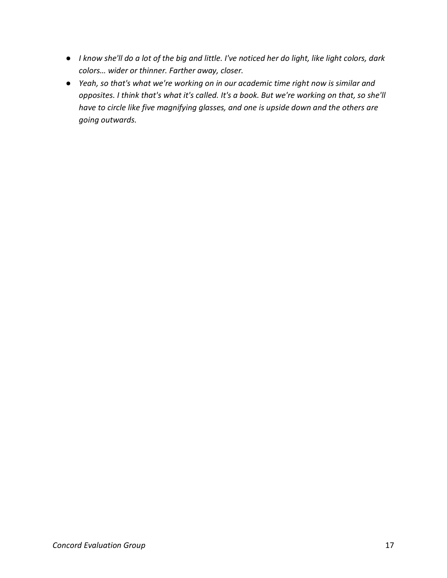- *I know she'll do a lot of the big and little. I've noticed her do light, like light colors, dark colors… wider or thinner. Farther away, closer.*
- *Yeah, so that's what we're working on in our academic time right now is similar and opposites. I think that's what it's called. It's a book. But we're working on that, so she'll have to circle like five magnifying glasses, and one is upside down and the others are going outwards.*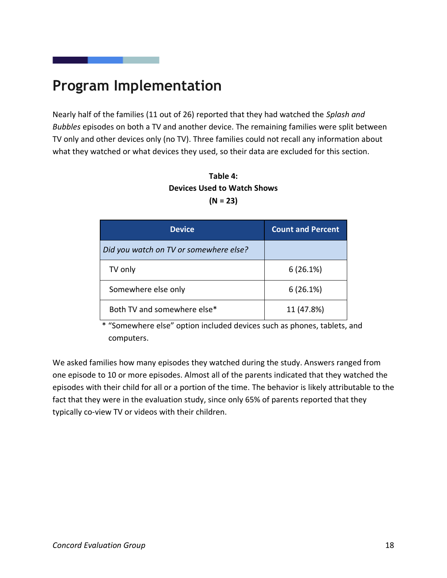# <span id="page-22-0"></span>**Program Implementation**

Nearly half of the families (11 out of 26) reported that they had watched the *Splash and Bubbles* episodes on both a TV and another device. The remaining families were split between TV only and other devices only (no TV). Three families could not recall any information about what they watched or what devices they used, so their data are excluded for this section.

**Table 4: Devices Used to Watch Shows (N = 23)**

| <b>Device</b>                          | <b>Count and Percent</b> |
|----------------------------------------|--------------------------|
| Did you watch on TV or somewhere else? |                          |
| TV only                                | 6(26.1%)                 |
| Somewhere else only                    | 6(26.1%)                 |
| Both TV and somewhere else*            | 11 (47.8%)               |

\* "Somewhere else" option included devices such as phones, tablets, and computers.

We asked families how many episodes they watched during the study. Answers ranged from one episode to 10 or more episodes. Almost all of the parents indicated that they watched the episodes with their child for all or a portion of the time. The behavior is likely attributable to the fact that they were in the evaluation study, since only 65% of parents reported that they typically co-view TV or videos with their children.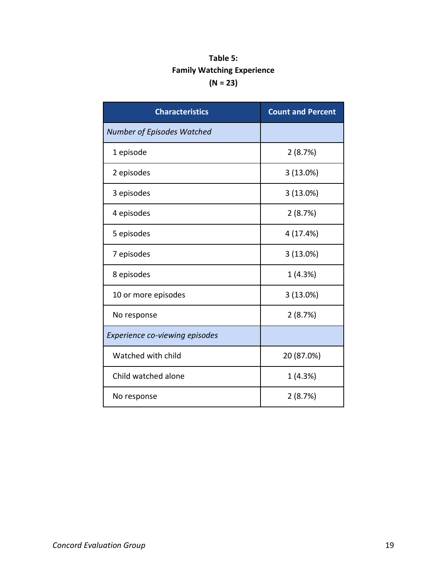### **Table 5: Family Watching Experience (N = 23)**

| <b>Characteristics</b>         | <b>Count and Percent</b> |
|--------------------------------|--------------------------|
| Number of Episodes Watched     |                          |
| 1 episode                      | 2(8.7%)                  |
| 2 episodes                     | 3(13.0%)                 |
| 3 episodes                     | 3(13.0%)                 |
| 4 episodes                     | 2(8.7%)                  |
| 5 episodes                     | 4 (17.4%)                |
| 7 episodes                     | 3(13.0%)                 |
| 8 episodes                     | 1(4.3%)                  |
| 10 or more episodes            | 3(13.0%)                 |
| No response                    | 2(8.7%)                  |
| Experience co-viewing episodes |                          |
| Watched with child             | 20 (87.0%)               |
| Child watched alone            | 1(4.3%)                  |
| No response                    | 2(8.7%)                  |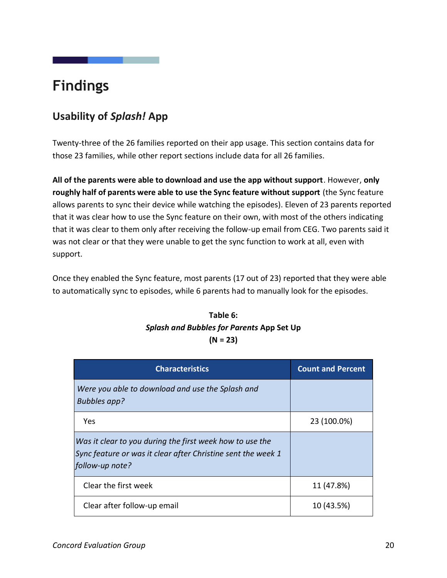# <span id="page-24-0"></span>**Findings**

# <span id="page-24-1"></span>**Usability of** *Splash!* **App**

Twenty-three of the 26 families reported on their app usage. This section contains data for those 23 families, while other report sections include data for all 26 families.

**All of the parents were able to download and use the app without support**. However, **only roughly half of parents were able to use the Sync feature without support** (the Sync feature allows parents to sync their device while watching the episodes). Eleven of 23 parents reported that it was clear how to use the Sync feature on their own, with most of the others indicating that it was clear to them only after receiving the follow-up email from CEG. Two parents said it was not clear or that they were unable to get the sync function to work at all, even with support.

Once they enabled the Sync feature, most parents (17 out of 23) reported that they were able to automatically sync to episodes, while 6 parents had to manually look for the episodes.

### **Table 6:** *Splash and Bubbles for Parents* **App Set Up (N = 23)**

| <b>Characteristics</b>                                                                                                                      | <b>Count and Percent</b> |
|---------------------------------------------------------------------------------------------------------------------------------------------|--------------------------|
| Were you able to download and use the Splash and<br><b>Bubbles app?</b>                                                                     |                          |
| Yes                                                                                                                                         | 23 (100.0%)              |
| Was it clear to you during the first week how to use the<br>Sync feature or was it clear after Christine sent the week 1<br>follow-up note? |                          |
| Clear the first week                                                                                                                        | 11 (47.8%)               |
| Clear after follow-up email                                                                                                                 | 10 (43.5%)               |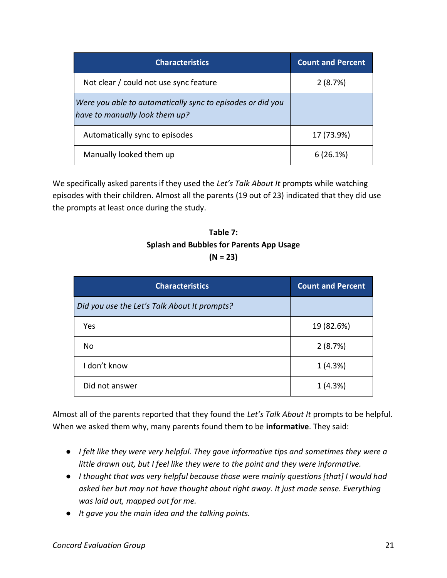| <b>Characteristics</b>                                                                       | <b>Count and Percent</b> |
|----------------------------------------------------------------------------------------------|--------------------------|
| Not clear / could not use sync feature                                                       | 2(8.7%)                  |
| Were you able to automatically sync to episodes or did you<br>have to manually look them up? |                          |
| Automatically sync to episodes                                                               | 17 (73.9%)               |
| Manually looked them up                                                                      | 6(26.1%)                 |

We specifically asked parents if they used the *Let's Talk About It* prompts while watching episodes with their children. Almost all the parents (19 out of 23) indicated that they did use the prompts at least once during the study.

### **Table 7: Splash and Bubbles for Parents App Usage (N = 23)**

| <b>Characteristics</b>                       | <b>Count and Percent</b> |
|----------------------------------------------|--------------------------|
| Did you use the Let's Talk About It prompts? |                          |
| Yes                                          | 19 (82.6%)               |
| No                                           | 2(8.7%)                  |
| I don't know                                 | 1(4.3%)                  |
| Did not answer                               | 1(4.3%)                  |

Almost all of the parents reported that they found the *Let's Talk About It* prompts to be helpful. When we asked them why, many parents found them to be **informative**. They said:

- *I felt like they were very helpful. They gave informative tips and sometimes they were a little drawn out, but I feel like they were to the point and they were informative.*
- *I thought that was very helpful because those were mainly questions [that] I would had asked her but may not have thought about right away. It just made sense. Everything was laid out, mapped out for me.*
- *It gave you the main idea and the talking points.*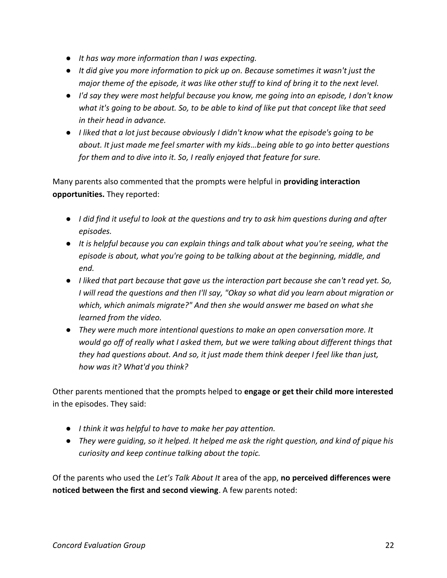- *It has way more information than I was expecting.*
- *It did give you more information to pick up on. Because sometimes it wasn't just the major theme of the episode, it was like other stuff to kind of bring it to the next level.*
- *I'd say they were most helpful because you know, me going into an episode, I don't know what it's going to be about. So, to be able to kind of like put that concept like that seed in their head in advance.*
- *I liked that a lot just because obviously I didn't know what the episode's going to be about. It just made me feel smarter with my kids…being able to go into better questions for them and to dive into it. So, I really enjoyed that feature for sure.*

Many parents also commented that the prompts were helpful in **providing interaction opportunities.** They reported:

- *I did find it useful to look at the questions and try to ask him questions during and after episodes.*
- *It is helpful because you can explain things and talk about what you're seeing, what the episode is about, what you're going to be talking about at the beginning, middle, and end.*
- *I liked that part because that gave us the interaction part because she can't read yet. So, I will read the questions and then I'll say, "Okay so what did you learn about migration or which, which animals migrate?" And then she would answer me based on what she learned from the video.*
- *They were much more intentional questions to make an open conversation more. It would go off of really what I asked them, but we were talking about different things that they had questions about. And so, it just made them think deeper I feel like than just, how was it? What'd you think?*

Other parents mentioned that the prompts helped to **engage or get their child more interested** in the episodes. They said:

- *I think it was helpful to have to make her pay attention.*
- *They were guiding, so it helped. It helped me ask the right question, and kind of pique his curiosity and keep continue talking about the topic.*

Of the parents who used the *Let's Talk About It* area of the app, **no perceived differences were noticed between the first and second viewing**. A few parents noted: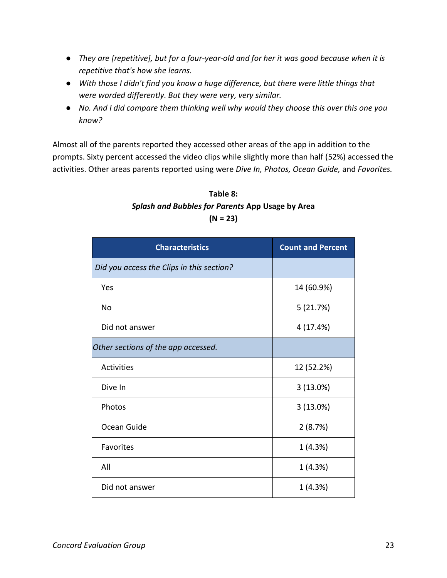- *They are [repetitive], but for a four-year-old and for her it was good because when it is repetitive that's how she learns.*
- *With those I didn't find you know a huge difference, but there were little things that were worded differently. But they were very, very similar.*
- *No. And I did compare them thinking well why would they choose this over this one you know?*

Almost all of the parents reported they accessed other areas of the app in addition to the prompts. Sixty percent accessed the video clips while slightly more than half (52%) accessed the activities. Other areas parents reported using were *Dive In, Photos, Ocean Guide,* and *Favorites.*

### **Table 8:** *Splash and Bubbles for Parents* **App Usage by Area (N = 23)**

| <b>Characteristics</b>                    | <b>Count and Percent</b> |
|-------------------------------------------|--------------------------|
| Did you access the Clips in this section? |                          |
| Yes                                       | 14 (60.9%)               |
| No                                        | 5(21.7%)                 |
| Did not answer                            | 4 (17.4%)                |
| Other sections of the app accessed.       |                          |
| Activities                                | 12 (52.2%)               |
| Dive In                                   | 3(13.0%)                 |
| Photos                                    | 3(13.0%)                 |
| Ocean Guide                               | 2(8.7%)                  |
| Favorites                                 | 1 (4.3%)                 |
| All                                       | 1 (4.3%)                 |
| Did not answer                            | 1(4.3%)                  |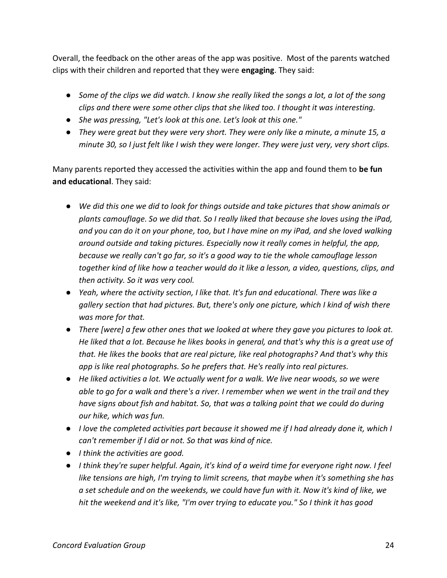Overall, the feedback on the other areas of the app was positive. Most of the parents watched clips with their children and reported that they were **engaging**. They said:

- *Some of the clips we did watch. I know she really liked the songs a lot, a lot of the song clips and there were some other clips that she liked too. I thought it was interesting.*
- *She was pressing, "Let's look at this one. Let's look at this one."*
- *They were great but they were very short. They were only like a minute, a minute 15, a minute 30, so I just felt like I wish they were longer. They were just very, very short clips.*

Many parents reported they accessed the activities within the app and found them to **be fun and educational**. They said:

- *We did this one we did to look for things outside and take pictures that show animals or plants camouflage. So we did that. So I really liked that because she loves using the iPad, and you can do it on your phone, too, but I have mine on my iPad, and she loved walking around outside and taking pictures. Especially now it really comes in helpful, the app, because we really can't go far, so it's a good way to tie the whole camouflage lesson together kind of like how a teacher would do it like a lesson, a video, questions, clips, and then activity. So it was very cool.*
- *Yeah, where the activity section, I like that. It's fun and educational. There was like a gallery section that had pictures. But, there's only one picture, which I kind of wish there was more for that.*
- *There [were] a few other ones that we looked at where they gave you pictures to look at. He liked that a lot. Because he likes books in general, and that's why this is a great use of that. He likes the books that are real picture, like real photographs? And that's why this app is like real photographs. So he prefers that. He's really into real pictures.*
- He liked activities a lot. We actually went for a walk. We live near woods, so we were *able to go for a walk and there's a river. I remember when we went in the trail and they have signs about fish and habitat. So, that was a talking point that we could do during our hike, which was fun.*
- *I love the completed activities part because it showed me if I had already done it, which I can't remember if I did or not. So that was kind of nice.*
- *I think the activities are good.*
- *I think they're super helpful. Again, it's kind of a weird time for everyone right now. I feel like tensions are high, I'm trying to limit screens, that maybe when it's something she has a set schedule and on the weekends, we could have fun with it. Now it's kind of like, we hit the weekend and it's like, "I'm over trying to educate you." So I think it has good*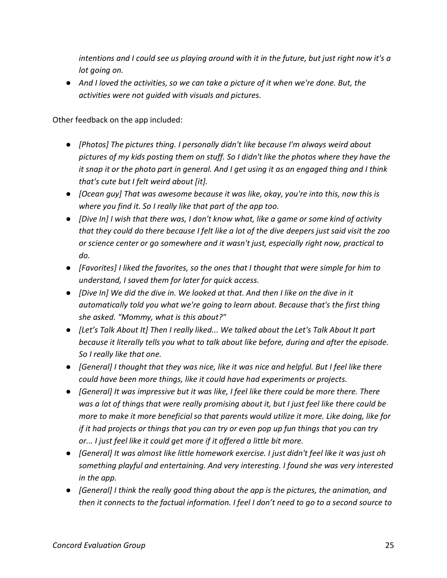*intentions and I could see us playing around with it in the future, but just right now it's a lot going on.*

● And I loved the activities, so we can take a picture of it when we're done. But, the *activities were not guided with visuals and pictures.*

Other feedback on the app included:

- *[Photos] The pictures thing. I personally didn't like because I'm always weird about pictures of my kids posting them on stuff. So I didn't like the photos where they have the it snap it or the photo part in general. And I get using it as an engaged thing and I think that's cute but I felt weird about [it].*
- *[Ocean guy] That was awesome because it was like, okay, you're into this, now this is where you find it. So I really like that part of the app too.*
- *[Dive In] I wish that there was, I don't know what, like a game or some kind of activity that they could do there because I felt like a lot of the dive deepers just said visit the zoo or science center or go somewhere and it wasn't just, especially right now, practical to do.*
- *[Favorites] I liked the favorites, so the ones that I thought that were simple for him to understand, I saved them for later for quick access.*
- *[Dive In] We did the dive in. We looked at that. And then I like on the dive in it automatically told you what we're going to learn about. Because that's the first thing she asked. "Mommy, what is this about?"*
- *[Let's Talk About It] Then I really liked... We talked about the Let's Talk About It part because it literally tells you what to talk about like before, during and after the episode. So I really like that one.*
- *[General] I thought that they was nice, like it was nice and helpful. But I feel like there could have been more things, like it could have had experiments or projects.*
- *[General] It was impressive but it was like, I feel like there could be more there. There was a lot of things that were really promising about it, but I just feel like there could be more to make it more beneficial so that parents would utilize it more. Like doing, like for if it had projects or things that you can try or even pop up fun things that you can try or... I just feel like it could get more if it offered a little bit more.*
- *[General] It was almost like little homework exercise. I just didn't feel like it was just oh something playful and entertaining. And very interesting. I found she was very interested in the app.*
- *[General] I think the really good thing about the app is the pictures, the animation, and then it connects to the factual information. I feel I don't need to go to a second source to*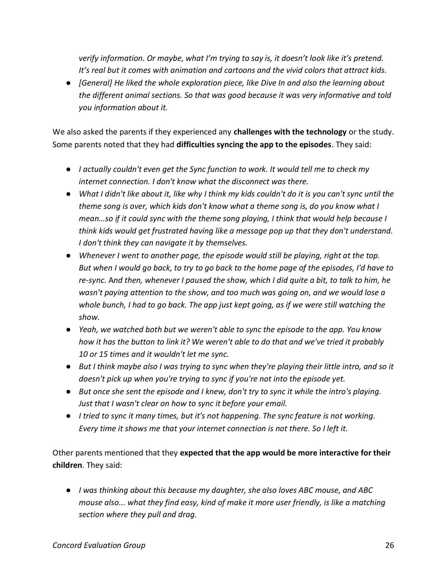*verify information. Or maybe, what I'm trying to say is, it doesn't look like it's pretend. It's real but it comes with animation and cartoons and the vivid colors that attract kids.*

● *[General] He liked the whole exploration piece, like Dive In and also the learning about the different animal sections. So that was good because it was very informative and told you information about it.*

We also asked the parents if they experienced any **challenges with the technology** or the study. Some parents noted that they had **difficulties syncing the app to the episodes**. They said:

- *I actually couldn't even get the Sync function to work. It would tell me to check my internet connection. I don't know what the disconnect was there.*
- *What I didn't like about it, like why I think my kids couldn't do it is you can't sync until the theme song is over, which kids don't know what a theme song is, do you know what I mean…so if it could sync with the theme song playing, I think that would help because I think kids would get frustrated having like a message pop up that they don't understand. I don't think they can navigate it by themselves.*
- *Whenever I went to another page, the episode would still be playing, right at the top. But when I would go back, to try to go back to the home page of the episodes, I'd have to re-sync.* A*nd then, whenever I paused the show, which I did quite a bit, to talk to him, he wasn't paying attention to the show, and too much was going on, and we would lose a whole bunch, I had to go back. The app just kept going, as if we were still watching the show.*
- *Yeah, we watched both but we weren't able to sync the episode to the app. You know how it has the button to link it? We weren't able to do that and we've tried it probably 10 or 15 times and it wouldn't let me sync.*
- *But I think maybe also I was trying to sync when they're playing their little intro, and so it doesn't pick up when you're trying to sync if you're not into the episode yet.*
- But once she sent the episode and I knew, don't try to sync it while the intro's playing. *Just that I wasn't clear on how to sync it before your email.*
- *I tried to sync it many times, but it's not happening. The sync feature is not working. Every time it shows me that your internet connection is not there. So I left it.*

Other parents mentioned that they **expected that the app would be more interactive for their children**. They said:

● *I was thinking about this because my daughter, she also loves ABC mouse, and ABC mouse also... what they find easy, kind of make it more user friendly, is like a matching section where they pull and drag.*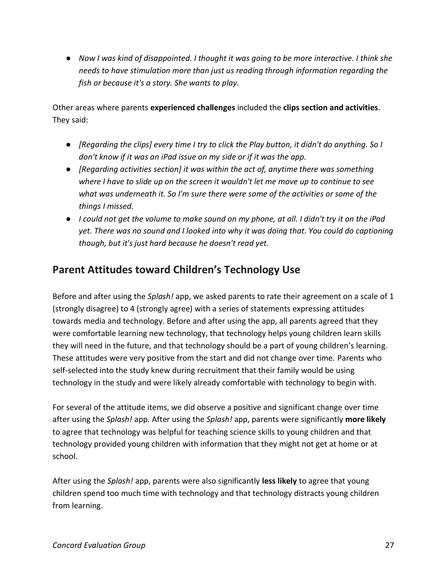● *Now I was kind of disappointed. I thought it was going to be more interactive. I think she needs to have stimulation more than just us reading through information regarding the fish or because it's a story. She wants to play.*

Other areas where parents **experienced challenges** included the **clips section and activities**. They said:

- *[Regarding the clips] every time I try to click the Play button, it didn't do anything. So I don't know if it was an iPad issue on my side or if it was the app.*
- *[Regarding activities section] it was within the act of, anytime there was something where I have to slide up on the screen it wouldn't let me move up to continue to see what was underneath it. So I'm sure there were some of the activities or some of the things I missed.*
- *I could not get the volume to make sound on my phone, at all. I didn't try it on the iPad yet. There was no sound and I looked into why it was doing that. You could do captioning though, but it's just hard because he doesn't read yet.*

# <span id="page-31-0"></span>**Parent Attitudes toward Children's Technology Use**

Before and after using the *Splash!* app, we asked parents to rate their agreement on a scale of 1 (strongly disagree) to 4 (strongly agree) with a series of statements expressing attitudes towards media and technology. Before and after using the app, all parents agreed that they were comfortable learning new technology, that technology helps young children learn skills they will need in the future, and that technology should be a part of young children's learning. These attitudes were very positive from the start and did not change over time. Parents who self-selected into the study knew during recruitment that their family would be using technology in the study and were likely already comfortable with technology to begin with.

For several of the attitude items, we did observe a positive and significant change over time after using the *Splash!* app. After using the *Splash!* app, parents were significantly **more likely** to agree that technology was helpful for teaching science skills to young children and that technology provided young children with information that they might not get at home or at school.

After using the *Splash!* app, parents were also significantly **less likely** to agree that young children spend too much time with technology and that technology distracts young children from learning.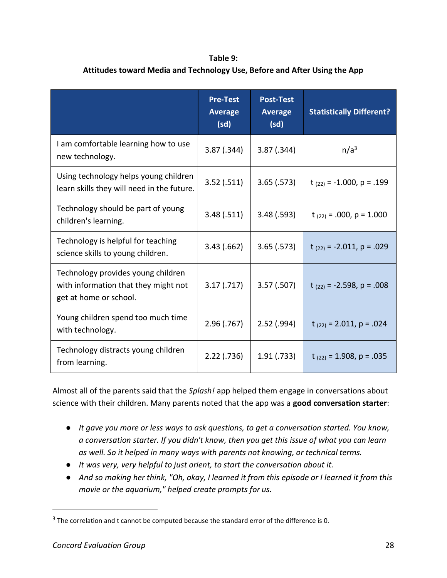### **Table 9: Attitudes toward Media and Technology Use, Before and After Using the App**

|                                                                                                      | <b>Pre-Test</b><br><b>Average</b><br>(sd) | <b>Post-Test</b><br><b>Average</b><br>(sd) | <b>Statistically Different?</b>  |
|------------------------------------------------------------------------------------------------------|-------------------------------------------|--------------------------------------------|----------------------------------|
| I am comfortable learning how to use<br>new technology.                                              | 3.87(.344)                                | 3.87(.344)                                 | n/a <sup>3</sup>                 |
| Using technology helps young children<br>learn skills they will need in the future.                  | 3.52(.511)                                | 3.65(.573)                                 | $t_{(22)} = -1.000$ , $p = .199$ |
| Technology should be part of young<br>children's learning.                                           | 3.48(.511)                                | 3.48(.593)                                 | $t_{(22)} = .000$ , $p = 1.000$  |
| Technology is helpful for teaching<br>science skills to young children.                              | 3.43(.662)                                | 3.65(.573)                                 | $t_{(22)} = -2.011$ , $p = .029$ |
| Technology provides young children<br>with information that they might not<br>get at home or school. | 3.17(0.717)                               | 3.57(.507)                                 | t $(22) = -2.598$ , p = .008     |
| Young children spend too much time<br>with technology.                                               | 2.96(0.767)                               | $2.52$ (.994)                              | $t_{(22)} = 2.011$ , $p = .024$  |
| Technology distracts young children<br>from learning.                                                | $2.22$ (.736)                             | 1.91(.733)                                 | $t_{(22)} = 1.908$ , p = .035    |

Almost all of the parents said that the *Splash!* app helped them engage in conversations about science with their children. Many parents noted that the app was a **good conversation starter**:

- *It gave you more or less ways to ask questions, to get a conversation started. You know, a conversation starter. If you didn't know, then you get this issue of what you can learn as well. So it helped in many ways with parents not knowing, or technical terms.*
- *It was very, very helpful to just orient, to start the conversation about it.*
- *And so making her think, "Oh, okay, I learned it from this episode or I learned it from this movie or the aquarium," helped create prompts for us.*

 $3$  The correlation and t cannot be computed because the standard error of the difference is 0.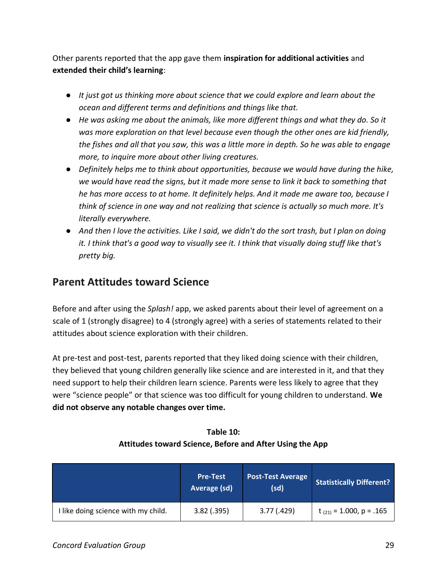Other parents reported that the app gave them **inspiration for additional activities** and **extended their child's learning**:

- *It just got us thinking more about science that we could explore and learn about the ocean and different terms and definitions and things like that.*
- *He was asking me about the animals, like more different things and what they do. So it was more exploration on that level because even though the other ones are kid friendly, the fishes and all that you saw, this was a little more in depth. So he was able to engage more, to inquire more about other living creatures.*
- *Definitely helps me to think about opportunities, because we would have during the hike, we would have read the signs, but it made more sense to link it back to something that he has more access to at home. It definitely helps. And it made me aware too, because I think of science in one way and not realizing that science is actually so much more. It's literally everywhere.*
- And then I love the activities. Like I said, we didn't do the sort trash, but I plan on doing *it. I think that's a good way to visually see it. I think that visually doing stuff like that's pretty big.*

# <span id="page-33-0"></span>**Parent Attitudes toward Science**

Before and after using the *Splash!* app, we asked parents about their level of agreement on a scale of 1 (strongly disagree) to 4 (strongly agree) with a series of statements related to their attitudes about science exploration with their children.

At pre-test and post-test, parents reported that they liked doing science with their children, they believed that young children generally like science and are interested in it, and that they need support to help their children learn science. Parents were less likely to agree that they were "science people" or that science was too difficult for young children to understand. **We did not observe any notable changes over time.**

|                                     | <b>Pre-Test</b><br>Average (sd) | <b>Post-Test Average</b><br>(sd) | <b>Statistically Different?</b> |
|-------------------------------------|---------------------------------|----------------------------------|---------------------------------|
| I like doing science with my child. | $3.82$ (.395)                   | 3.77(.429)                       | $t_{(21)} = 1.000$ , p = .165   |

### **Table 10: Attitudes toward Science, Before and After Using the App**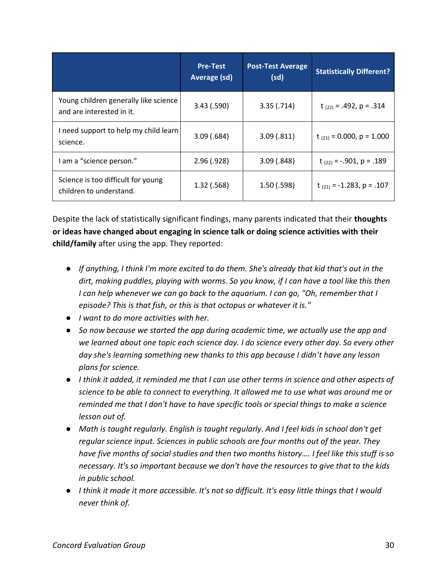|                                                                    | <b>Pre-Test</b><br>Average (sd) | <b>Post-Test Average</b><br>(sd) | <b>Statistically Different?</b>  |
|--------------------------------------------------------------------|---------------------------------|----------------------------------|----------------------------------|
| Young children generally like science<br>and are interested in it. | 3.43(.590)                      | 3.35(.714)                       | t $(22) = .492$ , p = .314       |
| I need support to help my child learn<br>science.                  | 3.09(.684)                      | 3.09(.811)                       | $t_{(21)} = 0.000$ , $p = 1.000$ |
| I am a "science person."                                           | 2.96(.928)                      | 3.09(.848)                       | t $(22) = -0.901$ , p = .189     |
| Science is too difficult for young<br>children to understand.      | 1.32(.568)                      | 1.50(0.598)                      | t $_{(21)}$ = -1.283, p = .107   |

Despite the lack of statistically significant findings, many parents indicated that their **thoughts or ideas have changed about engaging in science talk or doing science activities with their child/family** after using the app. They reported:

- *If anything, I think I'm more excited to do them. She's already that kid that's out in the dirt, making puddles, playing with worms. So you know, if I can have a tool like this then I can help whenever we can go back to the aquarium. I can go, "Oh, remember that I episode? This is that fish, or this is that octopus or whatever it is."*
- *I want to do more activities with her.*
- *So now because we started the app during academic time, we actually use the app and we learned about one topic each science day. I do science every other day. So every other day she's learning something new thanks to this app because I didn't have any lesson plans for science.*
- *I think it added, it reminded me that I can use other terms in science and other aspects of science to be able to connect to everything. It allowed me to use what was around me or reminded me that I don't have to have specific tools or special things to make a science lesson out of.*
- *Math is taught regularly. English is taught regularly. And I feel kids in school don't get regular science input. Sciences in public schools are four months out of the year. They have five months of social studies and then two months history…. I feel like this stuff is so necessary. It's so important because we don't have the resources to give that to the kids in public school.*
- *I think it made it more accessible. It's not so difficult. It's easy little things that I would never think of.*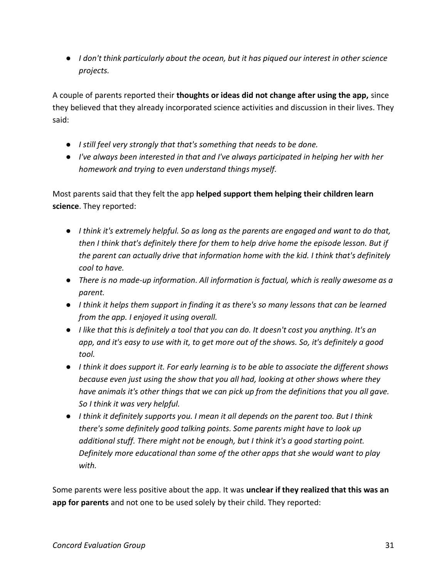● *I don't think particularly about the ocean, but it has piqued our interest in other science projects.*

A couple of parents reported their **thoughts or ideas did not change after using the app,** since they believed that they already incorporated science activities and discussion in their lives. They said:

- *I still feel very strongly that that's something that needs to be done.*
- *I've always been interested in that and I've always participated in helping her with her homework and trying to even understand things myself.*

Most parents said that they felt the app **helped support them helping their children learn science**. They reported:

- *I think it's extremely helpful. So as long as the parents are engaged and want to do that, then I think that's definitely there for them to help drive home the episode lesson. But if the parent can actually drive that information home with the kid. I think that's definitely cool to have.*
- *There is no made-up information. All information is factual, which is really awesome as a parent.*
- *I think it helps them support in finding it as there's so many lessons that can be learned from the app. I enjoyed it using overall.*
- *I like that this is definitely a tool that you can do. It doesn't cost you anything. It's an app, and it's easy to use with it, to get more out of the shows. So, it's definitely a good tool.*
- *I think it does support it. For early learning is to be able to associate the different shows because even just using the show that you all had, looking at other shows where they have animals it's other things that we can pick up from the definitions that you all gave. So I think it was very helpful.*
- *I think it definitely supports you. I mean it all depends on the parent too. But I think there's some definitely good talking points. Some parents might have to look up additional stuff. There might not be enough, but I think it's a good starting point. Definitely more educational than some of the other apps that she would want to play with.*

Some parents were less positive about the app. It was **unclear if they realized that this was an app for parents** and not one to be used solely by their child. They reported: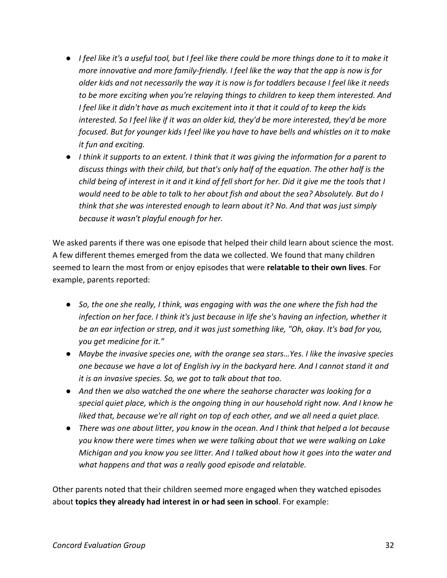- *I feel like it's a useful tool, but I feel like there could be more things done to it to make it more innovative and more family-friendly. I feel like the way that the app is now is for older kids and not necessarily the way it is now is for toddlers because I feel like it needs to be more exciting when you're relaying things to children to keep them interested. And I feel like it didn't have as much excitement into it that it could of to keep the kids interested. So I feel like if it was an older kid, they'd be more interested, they'd be more focused. But for younger kids I feel like you have to have bells and whistles on it to make it fun and exciting.*
- *I think it supports to an extent. I think that it was giving the information for a parent to discuss things with their child, but that's only half of the equation. The other half is the child being of interest in it and it kind of fell short for her. Did it give me the tools that I would need to be able to talk to her about fish and about the sea? Absolutely. But do I think that she was interested enough to learn about it? No. And that was just simply because it wasn't playful enough for her.*

We asked parents if there was one episode that helped their child learn about science the most. A few different themes emerged from the data we collected. We found that many children seemed to learn the most from or enjoy episodes that were **relatable to their own lives**. For example, parents reported:

- *So, the one she really, I think, was engaging with was the one where the fish had the infection on her face. I think it's just because in life she's having an infection, whether it be an ear infection or strep, and it was just something like, "Oh, okay. It's bad for you, you get medicine for it."*
- *Maybe the invasive species one, with the orange sea stars…Yes. I like the invasive species one because we have a lot of English ivy in the backyard here. And I cannot stand it and it is an invasive species. So, we got to talk about that too.*
- *And then we also watched the one where the seahorse character was looking for a special quiet place, which is the ongoing thing in our household right now. And I know he liked that, because we're all right on top of each other, and we all need a quiet place.*
- *There was one about litter, you know in the ocean. And I think that helped a lot because you know there were times when we were talking about that we were walking on Lake Michigan and you know you see litter. And I talked about how it goes into the water and what happens and that was a really good episode and relatable.*

Other parents noted that their children seemed more engaged when they watched episodes about **topics they already had interest in or had seen in school**. For example: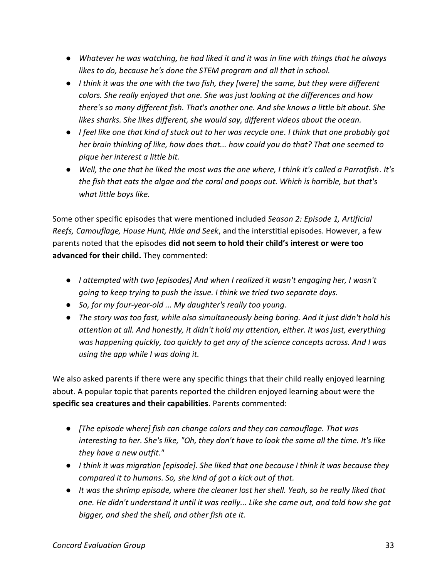- *Whatever he was watching, he had liked it and it was in line with things that he always likes to do, because he's done the STEM program and all that in school.*
- I think it was the one with the two fish, they [were] the same, but they were different *colors. She really enjoyed that one. She was just looking at the differences and how there's so many different fish. That's another one. And she knows a little bit about. She likes sharks. She likes different, she would say, different videos about the ocean.*
- *I feel like one that kind of stuck out to her was recycle one. I think that one probably got her brain thinking of like, how does that... how could you do that? That one seemed to pique her interest a little bit.*
- *Well, the one that he liked the most was the one where, I think it's called a Parrotfish. It's the fish that eats the algae and the coral and poops out. Which is horrible, but that's what little boys like.*

Some other specific episodes that were mentioned included *Season 2: Episode 1, Artificial Reefs, Camouflage, House Hunt, Hide and Seek*, and the interstitial episodes. However, a few parents noted that the episodes **did not seem to hold their child's interest or were too advanced for their child.** They commented:

- *I attempted with two [episodes] And when I realized it wasn't engaging her, I wasn't going to keep trying to push the issue. I think we tried two separate days.*
- *So, for my four-year-old ... My daughter's really too young.*
- *The story was too fast, while also simultaneously being boring. And it just didn't hold his attention at all. And honestly, it didn't hold my attention, either. It was just, everything was happening quickly, too quickly to get any of the science concepts across. And I was using the app while I was doing it.*

We also asked parents if there were any specific things that their child really enjoyed learning about. A popular topic that parents reported the children enjoyed learning about were the **specific sea creatures and their capabilities**. Parents commented:

- *[The episode where] fish can change colors and they can camouflage. That was interesting to her. She's like, "Oh, they don't have to look the same all the time. It's like they have a new outfit."*
- *I think it was migration [episode]. She liked that one because I think it was because they compared it to humans. So, she kind of got a kick out of that.*
- *It was the shrimp episode, where the cleaner lost her shell. Yeah, so he really liked that one. He didn't understand it until it was really... Like she came out, and told how she got bigger, and shed the shell, and other fish ate it.*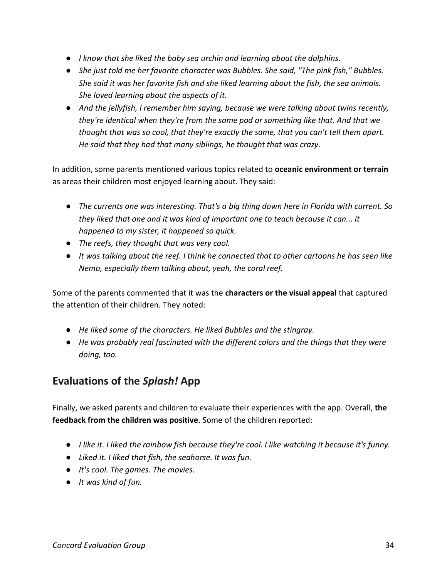- *I know that she liked the baby sea urchin and learning about the dolphins.*
- *She just told me her favorite character was Bubbles. She said, "The pink fish," Bubbles. She said it was her favorite fish and she liked learning about the fish, the sea animals. She loved learning about the aspects of it.*
- *And the jellyfish, I remember him saying, because we were talking about twins recently, they're identical when they're from the same pod or something like that. And that we thought that was so cool, that they're exactly the same, that you can't tell them apart. He said that they had that many siblings, he thought that was crazy.*

In addition, some parents mentioned various topics related to **oceanic environment or terrain** as areas their children most enjoyed learning about. They said:

- *The currents one was interesting. That's a big thing down here in Florida with current. So they liked that one and it was kind of important one to teach because it can... it happened to my sister, it happened so quick.*
- *The reefs, they thought that was very cool.*
- *It was talking about the reef. I think he connected that to other cartoons he has seen like Nemo, especially them talking about, yeah, the coral reef.*

Some of the parents commented that it was the **characters or the visual appeal** that captured the attention of their children. They noted:

- *He liked some of the characters. He liked Bubbles and the stingray.*
- *He was probably real fascinated with the different colors and the things that they were doing, too.*

## <span id="page-38-0"></span>**Evaluations of the** *Splash!* **App**

Finally, we asked parents and children to evaluate their experiences with the app. Overall, **the feedback from the children was positive**. Some of the children reported:

- *I like it. I liked the rainbow fish because they're cool. I like watching it because it's funny.*
- *Liked it. I liked that fish, the seahorse. It was fun.*
- *It's cool. The games. The movies.*
- *It was kind of fun.*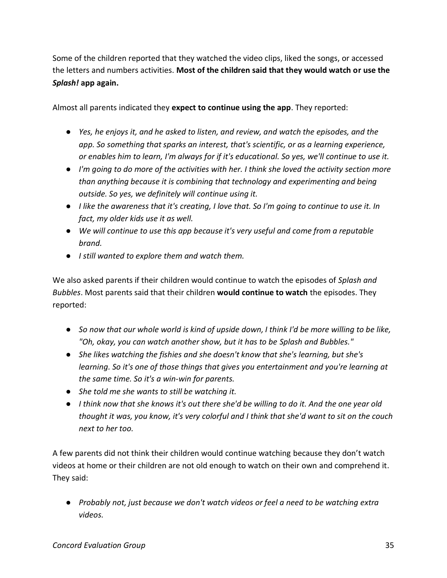Some of the children reported that they watched the video clips, liked the songs, or accessed the letters and numbers activities. **Most of the children said that they would watch or use the**  *Splash!* **app again.**

Almost all parents indicated they **expect to continue using the app**. They reported:

- *Yes, he enjoys it, and he asked to listen, and review, and watch the episodes, and the app. So something that sparks an interest, that's scientific, or as a learning experience, or enables him to learn, I'm always for if it's educational. So yes, we'll continue to use it.*
- *I'm going to do more of the activities with her. I think she loved the activity section more than anything because it is combining that technology and experimenting and being outside. So yes, we definitely will continue using it.*
- *I like the awareness that it's creating, I love that. So I'm going to continue to use it. In fact, my older kids use it as well.*
- *We will continue to use this app because it's very useful and come from a reputable brand.*
- *I still wanted to explore them and watch them.*

We also asked parents if their children would continue to watch the episodes of *Splash and Bubbles*. Most parents said that their children **would continue to watch** the episodes. They reported:

- So now that our whole world is kind of upside down, I think I'd be more willing to be like, *"Oh, okay, you can watch another show, but it has to be Splash and Bubbles."*
- *She likes watching the fishies and she doesn't know that she's learning, but she's learning. So it's one of those things that gives you entertainment and you're learning at the same time. So it's a win-win for parents.*
- *She told me she wants to still be watching it.*
- *I think now that she knows it's out there she'd be willing to do it. And the one year old thought it was, you know, it's very colorful and I think that she'd want to sit on the couch next to her too.*

A few parents did not think their children would continue watching because they don't watch videos at home or their children are not old enough to watch on their own and comprehend it. They said:

● *Probably not, just because we don't watch videos or feel a need to be watching extra videos.*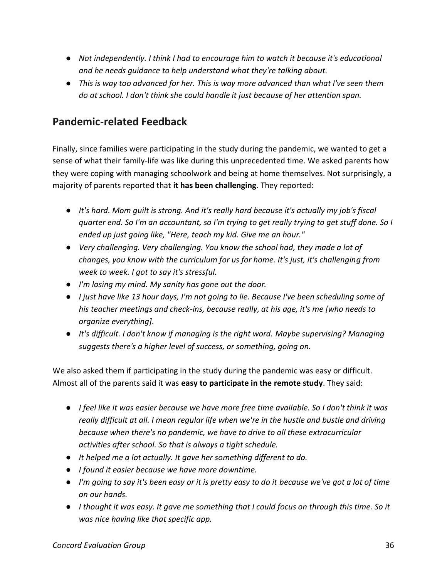- *Not independently. I think I had to encourage him to watch it because it's educational and he needs guidance to help understand what they're talking about.*
- *This is way too advanced for her. This is way more advanced than what I've seen them do at school. I don't think she could handle it just because of her attention span.*

# <span id="page-40-0"></span>**Pandemic-related Feedback**

Finally, since families were participating in the study during the pandemic, we wanted to get a sense of what their family-life was like during this unprecedented time. We asked parents how they were coping with managing schoolwork and being at home themselves. Not surprisingly, a majority of parents reported that **it has been challenging**. They reported:

- *It's hard. Mom guilt is strong. And it's really hard because it's actually my job's fiscal quarter end. So I'm an accountant, so I'm trying to get really trying to get stuff done. So I ended up just going like, "Here, teach my kid. Give me an hour."*
- *Very challenging. Very challenging. You know the school had, they made a lot of changes, you know with the curriculum for us for home. It's just, it's challenging from week to week. I got to say it's stressful.*
- *I'm losing my mind. My sanity has gone out the door.*
- *I just have like 13 hour days, I'm not going to lie. Because I've been scheduling some of his teacher meetings and check-ins, because really, at his age, it's me [who needs to organize everything].*
- *It's difficult. I don't know if managing is the right word. Maybe supervising? Managing suggests there's a higher level of success, or something, going on.*

We also asked them if participating in the study during the pandemic was easy or difficult. Almost all of the parents said it was **easy to participate in the remote study**. They said:

- *I feel like it was easier because we have more free time available. So I don't think it was really difficult at all. I mean regular life when we're in the hustle and bustle and driving because when there's no pandemic, we have to drive to all these extracurricular activities after school. So that is always a tight schedule.*
- *It helped me a lot actually. It gave her something different to do.*
- *I found it easier because we have more downtime.*
- *I'm going to say it's been easy or it is pretty easy to do it because we've got a lot of time on our hands.*
- *I thought it was easy. It gave me something that I could focus on through this time. So it was nice having like that specific app.*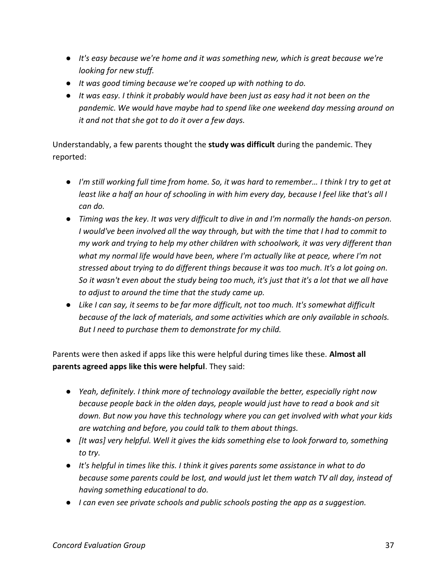- *It's easy because we're home and it was something new, which is great because we're looking for new stuff.*
- *It was good timing because we're cooped up with nothing to do.*
- *It was easy. I think it probably would have been just as easy had it not been on the pandemic. We would have maybe had to spend like one weekend day messing around on it and not that she got to do it over a few days.*

Understandably, a few parents thought the **study was difficult** during the pandemic. They reported:

- *I'm still working full time from home. So, it was hard to remember… I think I try to get at least like a half an hour of schooling in with him every day, because I feel like that's all I can do.*
- *Timing was the key. It was very difficult to dive in and I'm normally the hands-on person. I would've been involved all the way through, but with the time that I had to commit to my work and trying to help my other children with schoolwork, it was very different than what my normal life would have been, where I'm actually like at peace, where I'm not stressed about trying to do different things because it was too much. It's a lot going on. So it wasn't even about the study being too much, it's just that it's a lot that we all have to adjust to around the time that the study came up.*
- *Like I can say, it seems to be far more difficult, not too much. It's somewhat difficult because of the lack of materials, and some activities which are only available in schools. But I need to purchase them to demonstrate for my child.*

Parents were then asked if apps like this were helpful during times like these. **Almost all parents agreed apps like this were helpful**. They said:

- *Yeah, definitely. I think more of technology available the better, especially right now because people back in the olden days, people would just have to read a book and sit down. But now you have this technology where you can get involved with what your kids are watching and before, you could talk to them about things.*
- *[It was] very helpful. Well it gives the kids something else to look forward to, something to try.*
- *It's helpful in times like this. I think it gives parents some assistance in what to do because some parents could be lost, and would just let them watch TV all day, instead of having something educational to do.*
- *I can even see private schools and public schools posting the app as a suggestion.*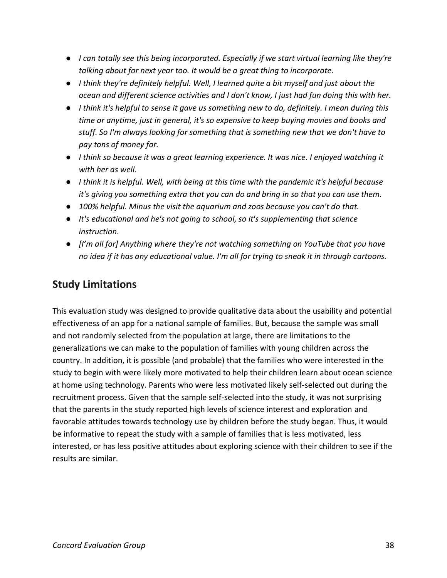- *I can totally see this being incorporated. Especially if we start virtual learning like they're talking about for next year too. It would be a great thing to incorporate.*
- *I think they're definitely helpful. Well, I learned quite a bit myself and just about the ocean and different science activities and I don't know, I just had fun doing this with her.*
- *I think it's helpful to sense it gave us something new to do, definitely. I mean during this time or anytime, just in general, it's so expensive to keep buying movies and books and stuff. So I'm always looking for something that is something new that we don't have to pay tons of money for.*
- *I think so because it was a great learning experience. It was nice. I enjoyed watching it with her as well.*
- *I think it is helpful. Well, with being at this time with the pandemic it's helpful because it's giving you something extra that you can do and bring in so that you can use them.*
- *100% helpful. Minus the visit the aquarium and zoos because you can't do that.*
- *It's educational and he's not going to school, so it's supplementing that science instruction.*
- *[I'm all for] Anything where they're not watching something on YouTube that you have no idea if it has any educational value. I'm all for trying to sneak it in through cartoons.*

# <span id="page-42-0"></span>**Study Limitations**

This evaluation study was designed to provide qualitative data about the usability and potential effectiveness of an app for a national sample of families. But, because the sample was small and not randomly selected from the population at large, there are limitations to the generalizations we can make to the population of families with young children across the country. In addition, it is possible (and probable) that the families who were interested in the study to begin with were likely more motivated to help their children learn about ocean science at home using technology. Parents who were less motivated likely self-selected out during the recruitment process. Given that the sample self-selected into the study, it was not surprising that the parents in the study reported high levels of science interest and exploration and favorable attitudes towards technology use by children before the study began. Thus, it would be informative to repeat the study with a sample of families that is less motivated, less interested, or has less positive attitudes about exploring science with their children to see if the results are similar.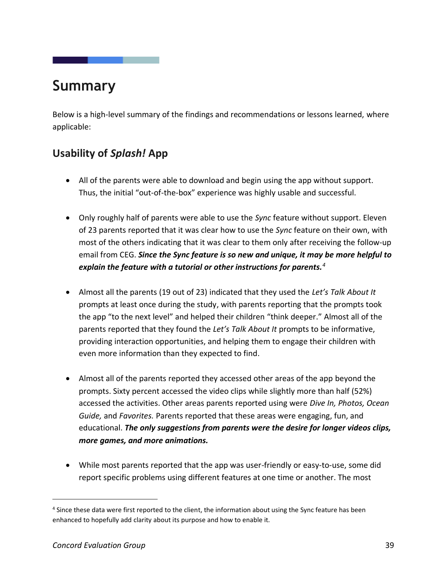# <span id="page-43-0"></span>**Summary**

Below is a high-level summary of the findings and recommendations or lessons learned, where applicable:

# <span id="page-43-1"></span>**Usability of** *Splash!* **App**

- All of the parents were able to download and begin using the app without support. Thus, the initial "out-of-the-box" experience was highly usable and successful.
- Only roughly half of parents were able to use the *Sync* feature without support. Eleven of 23 parents reported that it was clear how to use the *Sync* feature on their own, with most of the others indicating that it was clear to them only after receiving the follow-up email from CEG. *Since the Sync feature is so new and unique, it may be more helpful to explain the feature with a tutorial or other instructions for parents.<sup>4</sup>*
- Almost all the parents (19 out of 23) indicated that they used the *Let's Talk About It*  prompts at least once during the study, with parents reporting that the prompts took the app "to the next level" and helped their children "think deeper." Almost all of the parents reported that they found the *Let's Talk About It* prompts to be informative, providing interaction opportunities, and helping them to engage their children with even more information than they expected to find.
- Almost all of the parents reported they accessed other areas of the app beyond the prompts. Sixty percent accessed the video clips while slightly more than half (52%) accessed the activities. Other areas parents reported using were *Dive In, Photos, Ocean Guide,* and *Favorites.* Parents reported that these areas were engaging, fun, and educational. *The only suggestions from parents were the desire for longer videos clips, more games, and more animations.*
- While most parents reported that the app was user-friendly or easy-to-use, some did report specific problems using different features at one time or another. The most

<sup>4</sup> Since these data were first reported to the client, the information about using the Sync feature has been enhanced to hopefully add clarity about its purpose and how to enable it.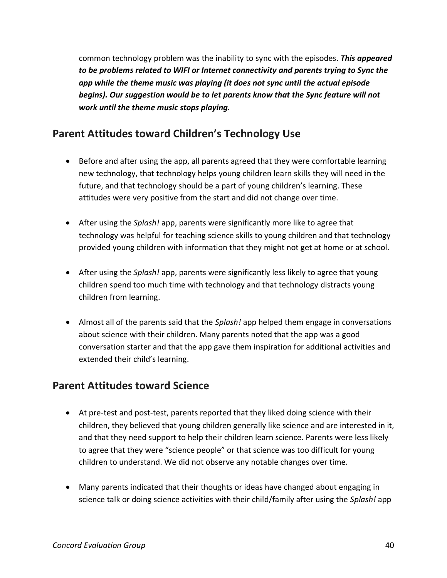common technology problem was the inability to sync with the episodes. *This appeared to be problems related to WIFI or Internet connectivity and parents trying to Sync the app while the theme music was playing (it does not sync until the actual episode begins). Our suggestion would be to let parents know that the Sync feature will not work until the theme music stops playing.*

# <span id="page-44-0"></span>**Parent Attitudes toward Children's Technology Use**

- Before and after using the app, all parents agreed that they were comfortable learning new technology, that technology helps young children learn skills they will need in the future, and that technology should be a part of young children's learning. These attitudes were very positive from the start and did not change over time.
- After using the *Splash!* app, parents were significantly more like to agree that technology was helpful for teaching science skills to young children and that technology provided young children with information that they might not get at home or at school.
- After using the *Splash!* app, parents were significantly less likely to agree that young children spend too much time with technology and that technology distracts young children from learning.
- Almost all of the parents said that the *Splash!* app helped them engage in conversations about science with their children. Many parents noted that the app was a good conversation starter and that the app gave them inspiration for additional activities and extended their child's learning.

### <span id="page-44-1"></span>**Parent Attitudes toward Science**

- At pre-test and post-test, parents reported that they liked doing science with their children, they believed that young children generally like science and are interested in it, and that they need support to help their children learn science. Parents were less likely to agree that they were "science people" or that science was too difficult for young children to understand. We did not observe any notable changes over time.
- Many parents indicated that their thoughts or ideas have changed about engaging in science talk or doing science activities with their child/family after using the *Splash!* app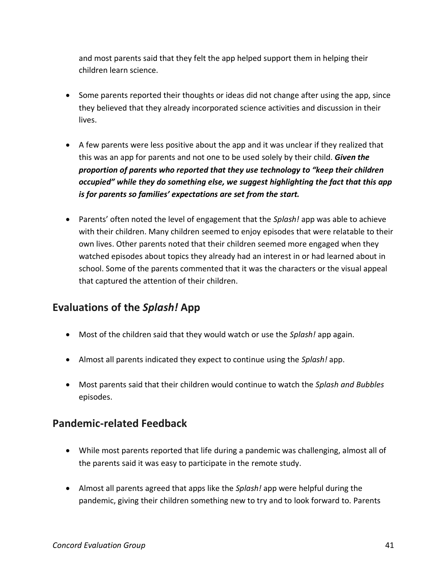and most parents said that they felt the app helped support them in helping their children learn science.

- Some parents reported their thoughts or ideas did not change after using the app, since they believed that they already incorporated science activities and discussion in their lives.
- A few parents were less positive about the app and it was unclear if they realized that this was an app for parents and not one to be used solely by their child. *Given the proportion of parents who reported that they use technology to "keep their children occupied" while they do something else, we suggest highlighting the fact that this app is for parents so families' expectations are set from the start.*
- Parents' often noted the level of engagement that the *Splash!* app was able to achieve with their children. Many children seemed to enjoy episodes that were relatable to their own lives. Other parents noted that their children seemed more engaged when they watched episodes about topics they already had an interest in or had learned about in school. Some of the parents commented that it was the characters or the visual appeal that captured the attention of their children.

# <span id="page-45-0"></span>**Evaluations of the** *Splash!* **App**

- Most of the children said that they would watch or use the *Splash!* app again.
- Almost all parents indicated they expect to continue using the *Splash!* app.
- Most parents said that their children would continue to watch the *Splash and Bubbles*  episodes.

## <span id="page-45-1"></span>**Pandemic-related Feedback**

- While most parents reported that life during a pandemic was challenging, almost all of the parents said it was easy to participate in the remote study.
- Almost all parents agreed that apps like the *Splash!* app were helpful during the pandemic, giving their children something new to try and to look forward to. Parents